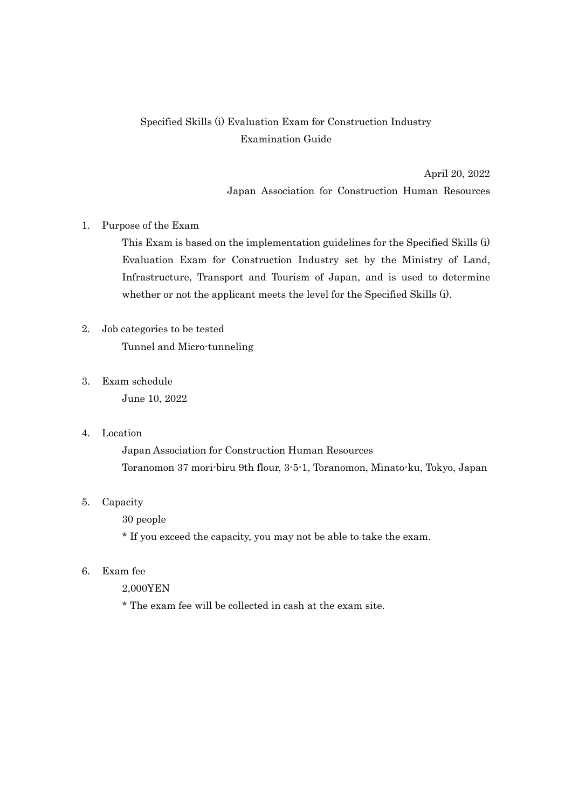# Specified Skills (i) Evaluation Exam for Construction Industry Examination Guide

April 20, 2022 Japan Association for Construction Human Resources

## 1. Purpose of the Exam

This Exam is based on the implementation guidelines for the Specified Skills (i) Evaluation Exam for Construction Industry set by the Ministry of Land, Infrastructure, Transport and Tourism of Japan, and is used to determine whether or not the applicant meets the level for the Specified Skills (i).

# 2. Job categories to be tested

Tunnel and Micro-tunneling

3. Exam schedule

June 10, 2022

4. Location

Japan Association for Construction Human Resources Toranomon 37 mori-biru 9th flour, 3-5-1, Toranomon, Minato-ku, Tokyo, Japan

## 5. Capacity

30 people

\* If you exceed the capacity, you may not be able to take the exam.

- 6. Exam fee
	- 2,000YEN

\* The exam fee will be collected in cash at the exam site.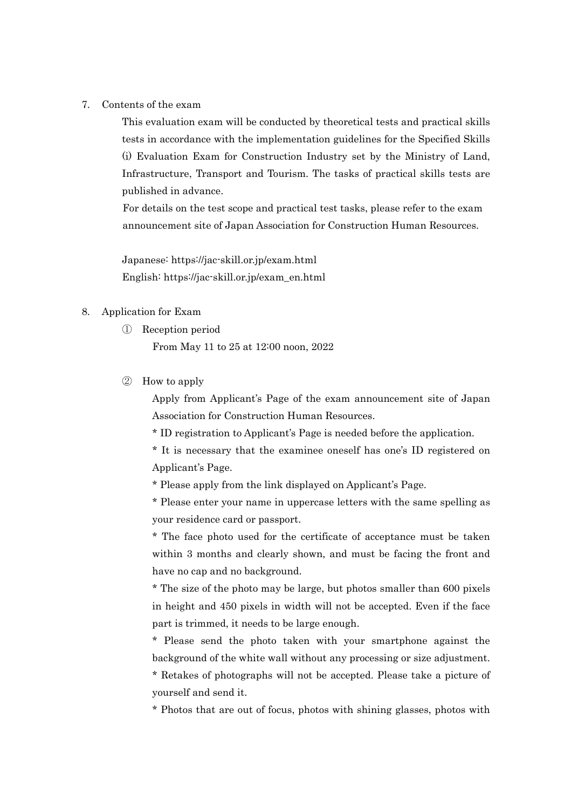7. Contents of the exam

This evaluation exam will be conducted by theoretical tests and practical skills tests in accordance with the implementation guidelines for the Specified Skills (i) Evaluation Exam for Construction Industry set by the Ministry of Land, Infrastructure, Transport and Tourism. The tasks of practical skills tests are published in advance.

For details on the test scope and practical test tasks, please refer to the exam announcement site of Japan Association for Construction Human Resources.

Japanese: https://jac-skill.or.jp/exam.html English: https://jac-skill.or.jp/exam\_en.html

### 8. Application for Exam

① Reception period

From May 11 to 25 at 12:00 noon, 2022

② How to apply

Apply from Applicant's Page of the exam announcement site of Japan Association for Construction Human Resources.

\* ID registration to Applicant's Page is needed before the application.

\* It is necessary that the examinee oneself has one's ID registered on Applicant's Page.

\* Please apply from the link displayed on Applicant's Page.

\* Please enter your name in uppercase letters with the same spelling as your residence card or passport.

\* The face photo used for the certificate of acceptance must be taken within 3 months and clearly shown, and must be facing the front and have no cap and no background.

\* The size of the photo may be large, but photos smaller than 600 pixels in height and 450 pixels in width will not be accepted. Even if the face part is trimmed, it needs to be large enough.

\* Please send the photo taken with your smartphone against the background of the white wall without any processing or size adjustment.

\* Retakes of photographs will not be accepted. Please take a picture of yourself and send it.

\* Photos that are out of focus, photos with shining glasses, photos with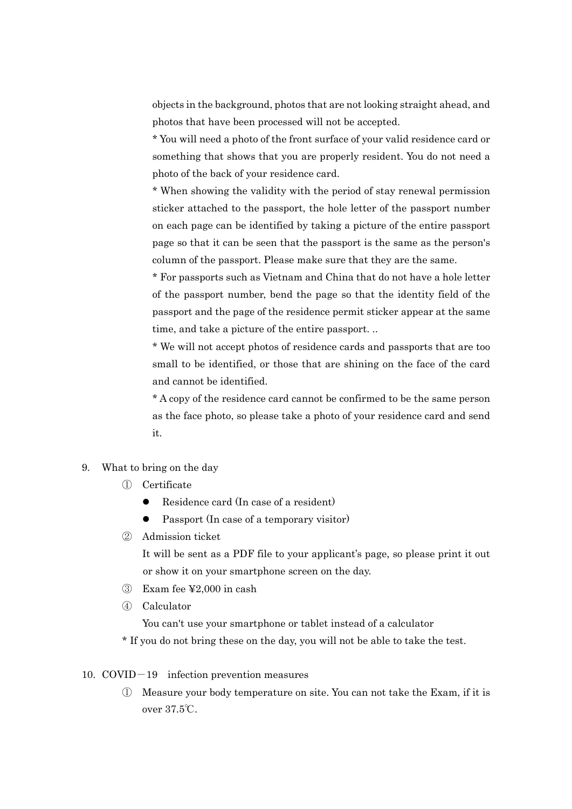objects in the background, photos that are not looking straight ahead, and photos that have been processed will not be accepted.

\* You will need a photo of the front surface of your valid residence card or something that shows that you are properly resident. You do not need a photo of the back of your residence card.

\* When showing the validity with the period of stay renewal permission sticker attached to the passport, the hole letter of the passport number on each page can be identified by taking a picture of the entire passport page so that it can be seen that the passport is the same as the person's column of the passport. Please make sure that they are the same.

\* For passports such as Vietnam and China that do not have a hole letter of the passport number, bend the page so that the identity field of the passport and the page of the residence permit sticker appear at the same time, and take a picture of the entire passport. ..

\* We will not accept photos of residence cards and passports that are too small to be identified, or those that are shining on the face of the card and cannot be identified.

\* A copy of the residence card cannot be confirmed to be the same person as the face photo, so please take a photo of your residence card and send it.

- 9. What to bring on the day
	- ① Certificate
		- Residence card (In case of a resident)
		- Passport (In case of a temporary visitor)
	- ② Admission ticket

It will be sent as a PDF file to your applicant's page, so please print it out or show it on your smartphone screen on the day.

- ③ Exam fee ¥2,000 in cash
- ④ Calculator

You can't use your smartphone or tablet instead of a calculator

\* If you do not bring these on the day, you will not be able to take the test.

- 10. COVID-19 infection prevention measures
	- ① Measure your body temperature on site. You can not take the Exam, if it is over 37.5℃.